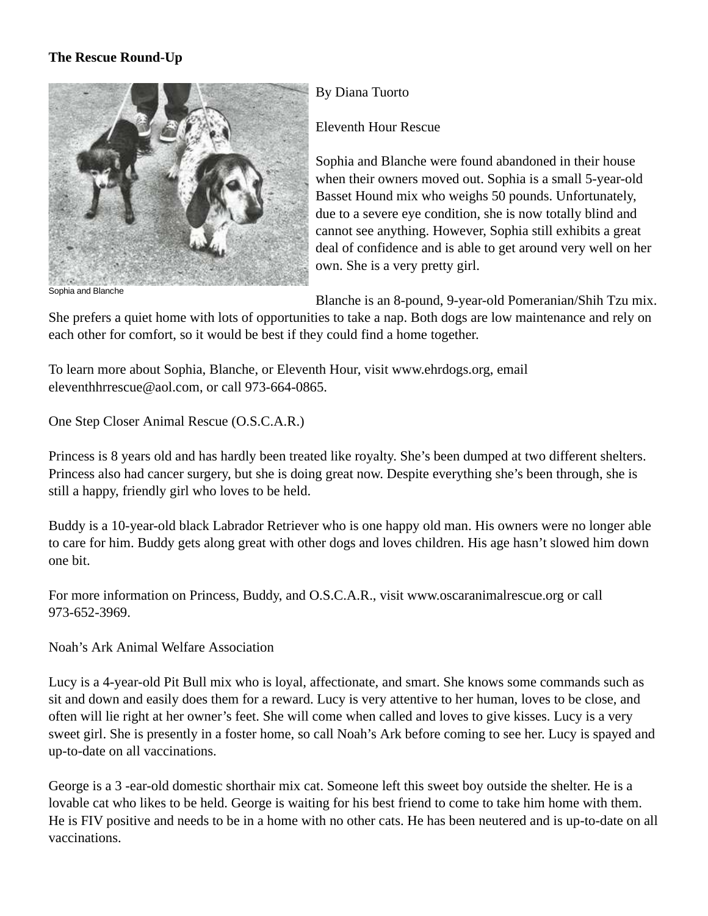## **The Rescue Round-Up**



Sophia and Blanche

## By Diana Tuorto

Eleventh Hour Rescue

Sophia and Blanche were found abandoned in their house when their owners moved out. Sophia is a small 5-year-old Basset Hound mix who weighs 50 pounds. Unfortunately, due to a severe eye condition, she is now totally blind and cannot see anything. However, Sophia still exhibits a great deal of confidence and is able to get around very well on her own. She is a very pretty girl.

Blanche is an 8-pound, 9-year-old Pomeranian/Shih Tzu mix.

She prefers a quiet home with lots of opportunities to take a nap. Both dogs are low maintenance and rely on each other for comfort, so it would be best if they could find a home together.

To learn more about Sophia, Blanche, or Eleventh Hour, visit www.ehrdogs.org, email eleventhhrrescue@aol.com, or call 973-664-0865.

One Step Closer Animal Rescue (O.S.C.A.R.)

Princess is 8 years old and has hardly been treated like royalty. She's been dumped at two different shelters. Princess also had cancer surgery, but she is doing great now. Despite everything she's been through, she is still a happy, friendly girl who loves to be held.

Buddy is a 10-year-old black Labrador Retriever who is one happy old man. His owners were no longer able to care for him. Buddy gets along great with other dogs and loves children. His age hasn't slowed him down one bit.

For more information on Princess, Buddy, and O.S.C.A.R., visit www.oscaranimalrescue.org or call 973-652-3969.

Noah's Ark Animal Welfare Association

Lucy is a 4-year-old Pit Bull mix who is loyal, affectionate, and smart. She knows some commands such as sit and down and easily does them for a reward. Lucy is very attentive to her human, loves to be close, and often will lie right at her owner's feet. She will come when called and loves to give kisses. Lucy is a very sweet girl. She is presently in a foster home, so call Noah's Ark before coming to see her. Lucy is spayed and up-to-date on all vaccinations.

George is a 3 -ear-old domestic shorthair mix cat. Someone left this sweet boy outside the shelter. He is a lovable cat who likes to be held. George is waiting for his best friend to come to take him home with them. He is FIV positive and needs to be in a home with no other cats. He has been neutered and is up-to-date on all vaccinations.